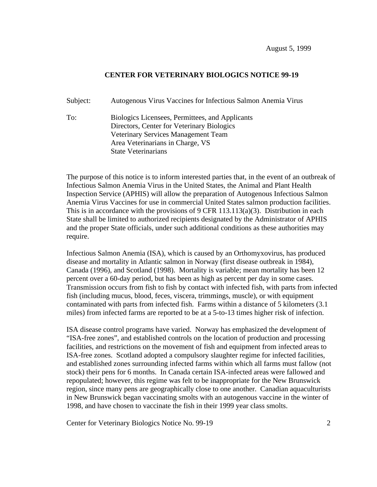## **CENTER FOR VETERINARY BIOLOGICS NOTICE 99-19**

Subject: Autogenous Virus Vaccines for Infectious Salmon Anemia Virus

To: Biologics Licensees, Permittees, and Applicants Directors, Center for Veterinary Biologics Veterinary Services Management Team Area Veterinarians in Charge, VS State Veterinarians

The purpose of this notice is to inform interested parties that, in the event of an outbreak of Infectious Salmon Anemia Virus in the United States, the Animal and Plant Health Inspection Service (APHIS) will allow the preparation of Autogenous Infectious Salmon Anemia Virus Vaccines for use in commercial United States salmon production facilities. This is in accordance with the provisions of 9 CFR  $113.113(a)(3)$ . Distribution in each State shall be limited to authorized recipients designated by the Administrator of APHIS and the proper State officials, under such additional conditions as these authorities may require.

Infectious Salmon Anemia (ISA), which is caused by an Orthomyxovirus, has produced disease and mortality in Atlantic salmon in Norway (first disease outbreak in 1984), Canada (1996), and Scotland (1998). Mortality is variable; mean mortality has been 12 percent over a 60-day period, but has been as high as percent per day in some cases. Transmission occurs from fish to fish by contact with infected fish, with parts from infected fish (including mucus, blood, feces, viscera, trimmings, muscle), or with equipment contaminated with parts from infected fish. Farms within a distance of 5 kilometers (3.1 miles) from infected farms are reported to be at a 5-to-13 times higher risk of infection.

ISA disease control programs have varied. Norway has emphasized the development of "ISA-free zones", and established controls on the location of production and processing facilities, and restrictions on the movement of fish and equipment from infected areas to ISA-free zones. Scotland adopted a compulsory slaughter regime for infected facilities, and established zones surrounding infected farms within which all farms must fallow (not stock) their pens for 6 months. In Canada certain ISA-infected areas were fallowed and repopulated; however, this regime was felt to be inappropriate for the New Brunswick region, since many pens are geographically close to one another. Canadian aquaculturists in New Brunswick began vaccinating smolts with an autogenous vaccine in the winter of 1998, and have chosen to vaccinate the fish in their 1999 year class smolts.

Center for Veterinary Biologics Notice No. 99-19 2